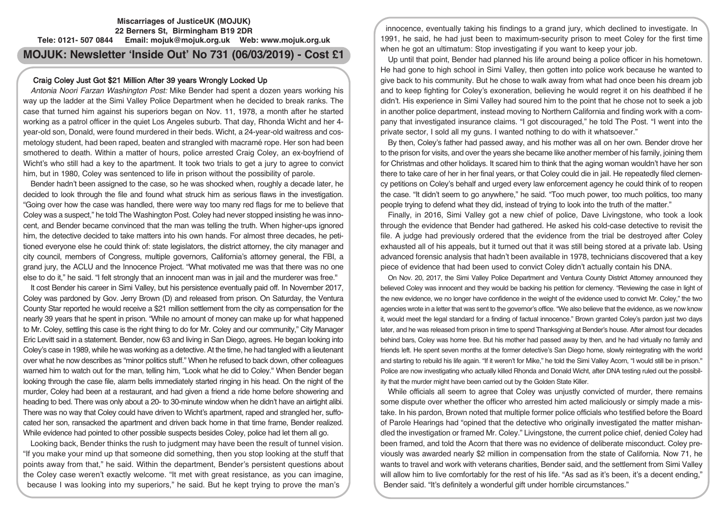## **Miscarriages of JusticeUK (MOJUK) 22 Berners St, Birmingham B19 2DR Tele: 0121- 507 0844 Email: mojuk@mojuk.org.uk Web: www.mojuk.org.uk**

# **MOJUK: Newsletter 'Inside Out' No 731 (06/03/2019) - Cost £1**

## Craig Coley Just Got \$21 Million After 39 years Wrongly Locked Up

Antonia Noori Farzan Washington Post: Mike Bender had spent a dozen years working his way up the ladder at the Simi Valley Police Department when he decided to break ranks. The case that turned him against his superiors began on Nov. 11, 1978, a month after he started working as a patrol officer in the quiet Los Angeles suburb. That day, Rhonda Wicht and her 4 year-old son, Donald, were found murdered in their beds. Wicht, a 24-year-old waitress and cosmetology student, had been raped, beaten and strangled with macramé rope. Her son had been smothered to death. Within a matter of hours, police arrested Craig Coley, an ex-boyfriend of Wicht's who still had a key to the apartment. It took two trials to get a jury to agree to convict him, but in 1980, Coley was sentenced to life in prison without the possibility of parole.

Bender hadn't been assigned to the case, so he was shocked when, roughly a decade later, he decided to look through the file and found what struck him as serious flaws in the investigation. "Going over how the case was handled, there were way too many red flags for me to believe that Coley was a suspect," he told The Washington Post. Coley had never stopped insisting he was innocent, and Bender became convinced that the man was telling the truth. When higher-ups ignored him, the detective decided to take matters into his own hands. For almost three decades, he petitioned everyone else he could think of: state legislators, the district attorney, the city manager and city council, members of Congress, multiple governors, California's attorney general, the FBI, a grand jury, the ACLU and the Innocence Project. "What motivated me was that there was no one else to do it," he said. "I felt strongly that an innocent man was in jail and the murderer was free."

It cost Bender his career in Simi Valley, but his persistence eventually paid off. In November 2017, Coley was pardoned by Gov. Jerry Brown (D) and released from prison. On Saturday, the Ventura County Star reported he would receive a \$21 million settlement from the city as compensation for the nearly 39 years that he spent in prison. "While no amount of money can make up for what happened to Mr. Coley, settling this case is the right thing to do for Mr. Coley and our community," City Manager Eric Levitt said in a statement. Bender, now 63 and living in San Diego, agrees. He began looking into Coley's case in 1989, while he was working as a detective. At the time, he had tangled with a lieutenant over what he now describes as "minor politics stuff." When he refused to back down, other colleagues warned him to watch out for the man, telling him, "Look what he did to Coley." When Bender began looking through the case file, alarm bells immediately started ringing in his head. On the night of the murder, Coley had been at a restaurant, and had given a friend a ride home before showering and heading to bed. There was only about a 20- to 30-minute window when he didn't have an airtight alibi. There was no way that Coley could have driven to Wicht's apartment, raped and strangled her, suffocated her son, ransacked the apartment and driven back home in that time frame, Bender realized. While evidence had pointed to other possible suspects besides Coley, police had let them all go.

Looking back, Bender thinks the rush to judgment may have been the result of tunnel vision. "If you make your mind up that someone did something, then you stop looking at the stuff that points away from that," he said. Within the department, Bender's persistent questions about the Coley case weren't exactly welcome. "It met with great resistance, as you can imagine, because I was looking into my superiors," he said. But he kept trying to prove the man's

innocence, eventually taking his findings to a grand jury, which declined to investigate. In 1991, he said, he had just been to maximum-security prison to meet Coley for the first time when he got an ultimatum: Stop investigating if you want to keep your job.

Up until that point, Bender had planned his life around being a police officer in his hometown. He had gone to high school in Simi Valley, then gotten into police work because he wanted to give back to his community. But he chose to walk away from what had once been his dream job and to keep fighting for Coley's exoneration, believing he would regret it on his deathbed if he didn't. His experience in Simi Valley had soured him to the point that he chose not to seek a job in another police department, instead moving to Northern California and finding work with a company that investigated insurance claims. "I got discouraged," he told The Post. "I went into the private sector, I sold all my guns. I wanted nothing to do with it whatsoever."

By then, Coley's father had passed away, and his mother was all on her own. Bender drove her to the prison for visits, and over the years she became like another member of his family, joining them for Christmas and other holidays. It scared him to think that the aging woman wouldn't have her son there to take care of her in her final years, or that Coley could die in jail. He repeatedly filed clemency petitions on Coley's behalf and urged every law enforcement agency he could think of to reopen the case. "It didn't seem to go anywhere," he said. "Too much power, too much politics, too many people trying to defend what they did, instead of trying to look into the truth of the matter."

Finally, in 2016, Simi Valley got a new chief of police, Dave Livingstone, who took a look through the evidence that Bender had gathered. He asked his cold-case detective to revisit the file. A judge had previously ordered that the evidence from the trial be destroyed after Coley exhausted all of his appeals, but it turned out that it was still being stored at a private lab. Using advanced forensic analysis that hadn't been available in 1978, technicians discovered that a key piece of evidence that had been used to convict Coley didn't actually contain his DNA.

On Nov. 20, 2017, the Simi Valley Police Department and Ventura County District Attorney announced they believed Coley was innocent and they would be backing his petition for clemency. "Reviewing the case in light of the new evidence, we no longer have confidence in the weight of the evidence used to convict Mr. Coley," the two agencies wrote in a letter that was sent to the governor's office. "We also believe that the evidence, as we now know it, would meet the legal standard for a finding of factual innocence." Brown granted Coley's pardon just two days later, and he was released from prison in time to spend Thanksgiving at Bender's house. After almost four decades behind bars, Coley was home free. But his mother had passed away by then, and he had virtually no family and friends left. He spent seven months at the former detective's San Diego home, slowly reintegrating with the world and starting to rebuild his life again. "If it weren't for Mike," he told the Simi Valley Acorn, "I would still be in prison." Police are now investigating who actually killed Rhonda and Donald Wicht, after DNA testing ruled out the possibility that the murder might have been carried out by the Golden State Killer.

While officials all seem to agree that Coley was unjustly convicted of murder, there remains some dispute over whether the officer who arrested him acted maliciously or simply made a mistake. In his pardon, Brown noted that multiple former police officials who testified before the Board of Parole Hearings had "opined that the detective who originally investigated the matter mishandled the investigation or framed Mr. Coley." Livingstone, the current police chief, denied Coley had been framed, and told the Acorn that there was no evidence of deliberate misconduct. Coley previously was awarded nearly \$2 million in compensation from the state of California. Now 71, he wants to travel and work with veterans charities, Bender said, and the settlement from Simi Valley will allow him to live comfortably for the rest of his life. "As sad as it's been, it's a decent ending," Bender said. "It's definitely a wonderful gift under horrible circumstances."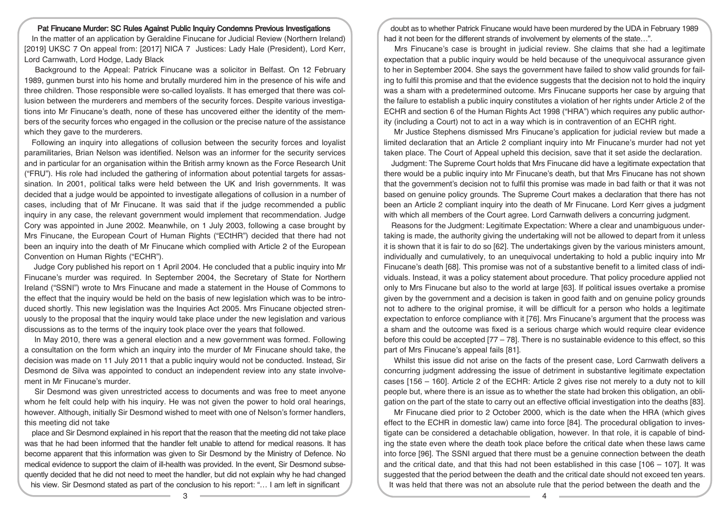#### Pat Finucane Murder: SC Rules Against Public Inquiry Condemns Previous Investigations

In the matter of an application by Geraldine Finucane for Judicial Review (Northern Ireland) [2019] UKSC 7 On appeal from: [2017] NICA 7 Justices: Lady Hale (President), Lord Kerr, Lord Carnwath, Lord Hodge, Lady Black

Background to the Appeal: Patrick Finucane was a solicitor in Belfast. On 12 February 1989, gunmen burst into his home and brutally murdered him in the presence of his wife and three children. Those responsible were so-called loyalists. It has emerged that there was collusion between the murderers and members of the security forces. Despite various investigations into Mr Finucane's death, none of these has uncovered either the identity of the members of the security forces who engaged in the collusion or the precise nature of the assistance which they gave to the murderers.

Following an inquiry into allegations of collusion between the security forces and loyalist paramilitaries, Brian Nelson was identified. Nelson was an informer for the security services and in particular for an organisation within the British army known as the Force Research Unit ("FRU"). His role had included the gathering of information about potential targets for assassination. In 2001, political talks were held between the UK and Irish governments. It was decided that a judge would be appointed to investigate allegations of collusion in a number of cases, including that of Mr Finucane. It was said that if the judge recommended a public inquiry in any case, the relevant government would implement that recommendation. Judge Cory was appointed in June 2002. Meanwhile, on 1 July 2003, following a case brought by Mrs Finucane, the European Court of Human Rights ("ECtHR") decided that there had not been an inquiry into the death of Mr Finucane which complied with Article 2 of the European Convention on Human Rights ("ECHR").

Judge Cory published his report on 1 April 2004. He concluded that a public inquiry into Mr Finucane's murder was required. In September 2004, the Secretary of State for Northern Ireland ("SSNI") wrote to Mrs Finucane and made a statement in the House of Commons to the effect that the inquiry would be held on the basis of new legislation which was to be introduced shortly. This new legislation was the Inquiries Act 2005. Mrs Finucane objected strenuously to the proposal that the inquiry would take place under the new legislation and various discussions as to the terms of the inquiry took place over the years that followed.

In May 2010, there was a general election and a new government was formed. Following a consultation on the form which an inquiry into the murder of Mr Finucane should take, the decision was made on 11 July 2011 that a public inquiry would not be conducted. Instead, Sir Desmond de Silva was appointed to conduct an independent review into any state involvement in Mr Finucane's murder.

Sir Desmond was given unrestricted access to documents and was free to meet anyone whom he felt could help with his inquiry. He was not given the power to hold oral hearings, however. Although, initially Sir Desmond wished to meet with one of Nelson's former handlers, this meeting did not take

place and Sir Desmond explained in his report that the reason that the meeting did not take place was that he had been informed that the handler felt unable to attend for medical reasons. It has become apparent that this information was given to Sir Desmond by the Ministry of Defence. No medical evidence to support the claim of ill-health was provided. In the event, Sir Desmond subsequently decided that he did not need to meet the handler, but did not explain why he had changed his view. Sir Desmond stated as part of the conclusion to his report: "... I am left in significant

doubt as to whether Patrick Finucane would have been murdered by the UDA in February 1989 had it not been for the different strands of involvement by elements of the state…".

Mrs Finucane's case is brought in judicial review. She claims that she had a legitimate expectation that a public inquiry would be held because of the unequivocal assurance given to her in September 2004. She says the government have failed to show valid grounds for failing to fulfil this promise and that the evidence suggests that the decision not to hold the inquiry was a sham with a predetermined outcome. Mrs Finucane supports her case by arguing that the failure to establish a public inquiry constitutes a violation of her rights under Article 2 of the ECHR and section 6 of the Human Rights Act 1998 ("HRA") which requires any public authority (including a Court) not to act in a way which is in contravention of an ECHR right.

Mr Justice Stephens dismissed Mrs Finucane's application for judicial review but made a limited declaration that an Article 2 compliant inquiry into Mr Finucane's murder had not yet taken place. The Court of Appeal upheld this decision, save that it set aside the declaration.

Judgment: The Supreme Court holds that Mrs Finucane did have a legitimate expectation that there would be a public inquiry into Mr Finucane's death, but that Mrs Finucane has not shown that the government's decision not to fulfil this promise was made in bad faith or that it was not based on genuine policy grounds. The Supreme Court makes a declaration that there has not been an Article 2 compliant inquiry into the death of Mr Finucane. Lord Kerr gives a judgment with which all members of the Court agree. Lord Carnwath delivers a concurring judgment.

Reasons for the Judgment: Legitimate Expectation: Where a clear and unambiguous undertaking is made, the authority giving the undertaking will not be allowed to depart from it unless it is shown that it is fair to do so [62]. The undertakings given by the various ministers amount, individually and cumulatively, to an unequivocal undertaking to hold a public inquiry into Mr Finucane's death [68]. This promise was not of a substantive benefit to a limited class of individuals. Instead, it was a policy statement about procedure. That policy procedure applied not only to Mrs Finucane but also to the world at large [63]. If political issues overtake a promise given by the government and a decision is taken in good faith and on genuine policy grounds not to adhere to the original promise, it will be difficult for a person who holds a legitimate expectation to enforce compliance with it [76]. Mrs Finucane's argument that the process was a sham and the outcome was fixed is a serious charge which would require clear evidence before this could be accepted  $[77 - 78]$ . There is no sustainable evidence to this effect, so this part of Mrs Finucane's appeal fails [81].

Whilst this issue did not arise on the facts of the present case, Lord Carnwath delivers a concurring judgment addressing the issue of detriment in substantive legitimate expectation cases [156 – 160]. Article 2 of the ECHR: Article 2 gives rise not merely to a duty not to kill people but, where there is an issue as to whether the state had broken this obligation, an obligation on the part of the state to carry out an effective official investigation into the deaths [83].

Mr Finucane died prior to 2 October 2000, which is the date when the HRA (which gives effect to the ECHR in domestic law) came into force [84]. The procedural obligation to investigate can be considered a detachable obligation, however. In that role, it is capable of binding the state even where the death took place before the critical date when these laws came into force [96]. The SSNI argued that there must be a genuine connection between the death and the critical date, and that this had not been established in this case [106 – 107]. It was suggested that the period between the death and the critical date should not exceed ten years. It was held that there was not an absolute rule that the period between the death and the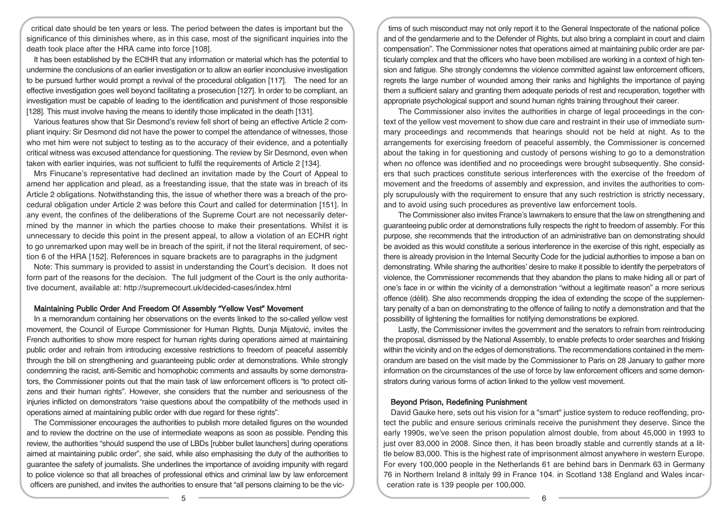critical date should be ten years or less. The period between the dates is important but the significance of this diminishes where, as in this case, most of the significant inquiries into the death took place after the HRA came into force [108].

It has been established by the ECtHR that any information or material which has the potential to undermine the conclusions of an earlier investigation or to allow an earlier inconclusive investigation to be pursued further would prompt a revival of the procedural obligation [117]. The need for an effective investigation goes well beyond facilitating a prosecution [127]. In order to be compliant, an investigation must be capable of leading to the identification and punishment of those responsible [128]. This must involve having the means to identify those implicated in the death [131].

Various features show that Sir Desmond's review fell short of being an effective Article 2 compliant inquiry: Sir Desmond did not have the power to compel the attendance of witnesses, those who met him were not subject to testing as to the accuracy of their evidence, and a potentially critical witness was excused attendance for questioning. The review by Sir Desmond, even when taken with earlier inquiries, was not sufficient to fulfil the requirements of Article 2 [134].

Mrs Finucane's representative had declined an invitation made by the Court of Appeal to amend her application and plead, as a freestanding issue, that the state was in breach of its Article 2 obligations. Notwithstanding this, the issue of whether there was a breach of the procedural obligation under Article 2 was before this Court and called for determination [151]. In any event, the confines of the deliberations of the Supreme Court are not necessarily determined by the manner in which the parties choose to make their presentations. Whilst it is unnecessary to decide this point in the present appeal, to allow a violation of an ECHR right to go unremarked upon may well be in breach of the spirit, if not the literal requirement, of section 6 of the HRA [152]. References in square brackets are to paragraphs in the judgment

Note: This summary is provided to assist in understanding the Court's decision. It does not form part of the reasons for the decision. The full judgment of the Court is the only authoritative document, available at: http://supremecourt.uk/decided-cases/index.html

## Maintaining Public Order And Freedom Of Assembly "Yellow Vest" Movement

In a memorandum containing her observations on the events linked to the so-called yellow vest movement, the Council of Europe Commissioner for Human Rights, Dunja Mijatović, invites the French authorities to show more respect for human rights during operations aimed at maintaining public order and refrain from introducing excessive restrictions to freedom of peaceful assembly through the bill on strengthening and guaranteeing public order at demonstrations. While strongly condemning the racist, anti-Semitic and homophobic comments and assaults by some demonstrators, the Commissioner points out that the main task of law enforcement officers is "to protect citizens and their human rights". However, she considers that the number and seriousness of the injuries inflicted on demonstrators "raise questions about the compatibility of the methods used in operations aimed at maintaining public order with due regard for these rights".

The Commissioner encourages the authorities to publish more detailed figures on the wounded and to review the doctrine on the use of intermediate weapons as soon as possible. Pending this review, the authorities "should suspend the use of LBDs [rubber bullet launchers] during operations aimed at maintaining public order", she said, while also emphasising the duty of the authorities to guarantee the safety of journalists. She underlines the importance of avoiding impunity with regard to police violence so that all breaches of professional ethics and criminal law by law enforcement officers are punished, and invites the authorities to ensure that "all persons claiming to be the vic-

tims of such misconduct may not only report it to the General Inspectorate of the national police and of the gendarmerie and to the Defender of Rights, but also bring a complaint in court and claim compensation". The Commissioner notes that operations aimed at maintaining public order are particularly complex and that the officers who have been mobilised are working in a context of high tension and fatigue. She strongly condemns the violence committed against law enforcement officers, regrets the large number of wounded among their ranks and highlights the importance of paying them a sufficient salary and granting them adequate periods of rest and recuperation, together with appropriate psychological support and sound human rights training throughout their career.

The Commissioner also invites the authorities in charge of legal proceedings in the context of the yellow vest movement to show due care and restraint in their use of immediate summary proceedings and recommends that hearings should not be held at night. As to the arrangements for exercising freedom of peaceful assembly, the Commissioner is concerned about the taking in for questioning and custody of persons wishing to go to a demonstration when no offence was identified and no proceedings were brought subsequently. She considers that such practices constitute serious interferences with the exercise of the freedom of movement and the freedoms of assembly and expression, and invites the authorities to comply scrupulously with the requirement to ensure that any such restriction is strictly necessary, and to avoid using such procedures as preventive law enforcement tools.

The Commissioner also invites France's lawmakers to ensure that the law on strengthening and guaranteeing public order at demonstrations fully respects the right to freedom of assembly. For this purpose, she recommends that the introduction of an administrative ban on demonstrating should be avoided as this would constitute a serious interference in the exercise of this right, especially as there is already provision in the Internal Security Code for the judicial authorities to impose a ban on demonstrating. While sharing the authorities' desire to make it possible to identify the perpetrators of violence, the Commissioner recommends that they abandon the plans to make hiding all or part of one's face in or within the vicinity of a demonstration "without a legitimate reason" a more serious offence (délit). She also recommends dropping the idea of extending the scope of the supplementary penalty of a ban on demonstrating to the offence of failing to notify a demonstration and that the possibility of lightening the formalities for notifying demonstrations be explored.

Lastly, the Commissioner invites the government and the senators to refrain from reintroducing the proposal, dismissed by the National Assembly, to enable prefects to order searches and frisking within the vicinity and on the edges of demonstrations. The recommendations contained in the memorandum are based on the visit made by the Commissioner to Paris on 28 January to gather more information on the circumstances of the use of force by law enforcement officers and some demonstrators during various forms of action linked to the yellow vest movement.

## Beyond Prison, Redefining Punishment

David Gauke here, sets out his vision for a "smart" justice system to reduce reoffending, protect the public and ensure serious criminals receive the punishment they deserve. Since the early 1990s, we've seen the prison population almost double, from about 45,000 in 1993 to just over 83,000 in 2008. Since then, it has been broadly stable and currently stands at a little below 83,000. This is the highest rate of imprisonment almost anywhere in western Europe. For every 100,000 people in the Netherlands 61 are behind bars in Denmark 63 in Germany 76 in Northern Ireland 8 inItaly 99 in France 104. in Scotland 138 England and Wales incarceration rate is 139 people per 100,000.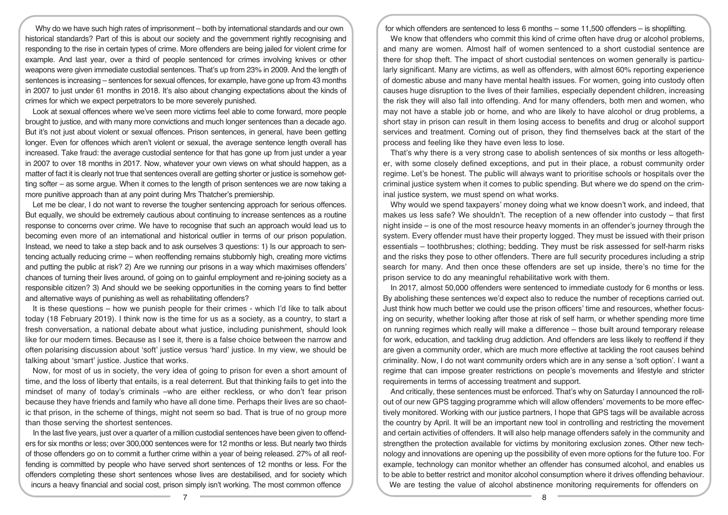Why do we have such high rates of imprisonment – both by international standards and our own historical standards? Part of this is about our society and the government rightly recognising and responding to the rise in certain types of crime. More offenders are being jailed for violent crime for example. And last year, over a third of people sentenced for crimes involving knives or other weapons were given immediate custodial sentences. That's up from 23% in 2009. And the length of sentences is increasing – sentences for sexual offences, for example, have gone up from 43 months in 2007 to just under 61 months in 2018. It's also about changing expectations about the kinds of crimes for which we expect perpetrators to be more severely punished.

Look at sexual offences where we've seen more victims feel able to come forward, more people brought to justice, and with many more convictions and much longer sentences than a decade ago. But it's not just about violent or sexual offences. Prison sentences, in general, have been getting longer. Even for offences which aren't violent or sexual, the average sentence length overall has increased. Take fraud: the average custodial sentence for that has gone up from just under a year in 2007 to over 18 months in 2017. Now, whatever your own views on what should happen, as a matter of fact it is clearly not true that sentences overall are getting shorter or justice is somehow getting softer – as some argue. When it comes to the length of prison sentences we are now taking a more punitive approach than at any point during Mrs Thatcher's premiership.

Let me be clear, I do not want to reverse the tougher sentencing approach for serious offences. But equally, we should be extremely cautious about continuing to increase sentences as a routine response to concerns over crime. We have to recognise that such an approach would lead us to becoming even more of an international and historical outlier in terms of our prison population. Instead, we need to take a step back and to ask ourselves 3 questions: 1) Is our approach to sentencing actually reducing crime – when reoffending remains stubbornly high, creating more victims and putting the public at risk? 2) Are we running our prisons in a way which maximises offenders' chances of turning their lives around, of going on to gainful employment and re-joining society as a responsible citizen? 3) And should we be seeking opportunities in the coming years to find better and alternative ways of punishing as well as rehabilitating offenders?

It is these questions – how we punish people for their crimes - which I'd like to talk about today (18 February 2019). I think now is the time for us as a society, as a country, to start a fresh conversation, a national debate about what justice, including punishment, should look like for our modern times. Because as I see it, there is a false choice between the narrow and often polarising discussion about 'soft' justice versus 'hard' justice. In my view, we should be talking about 'smart' justice. Justice that works.

Now, for most of us in society, the very idea of going to prison for even a short amount of time, and the loss of liberty that entails, is a real deterrent. But that thinking fails to get into the mindset of many of today's criminals –who are either reckless, or who don't fear prison because they have friends and family who have all done time. Perhaps their lives are so chaotic that prison, in the scheme of things, might not seem so bad. That is true of no group more than those serving the shortest sentences.

In the last five years, just over a quarter of a million custodial sentences have been given to offenders for six months or less; over 300,000 sentences were for 12 months or less. But nearly two thirds of those offenders go on to commit a further crime within a year of being released. 27% of all reoffending is committed by people who have served short sentences of 12 months or less. For the offenders completing these short sentences whose lives are destabilised, and for society which incurs a heavy financial and social cost, prison simply isn't working. The most common offence

for which offenders are sentenced to less 6 months – some 11,500 offenders – is shoplifting.

We know that offenders who commit this kind of crime often have drug or alcohol problems, and many are women. Almost half of women sentenced to a short custodial sentence are there for shop theft. The impact of short custodial sentences on women generally is particularly significant. Many are victims, as well as offenders, with almost 60% reporting experience of domestic abuse and many have mental health issues. For women, going into custody often causes huge disruption to the lives of their families, especially dependent children, increasing the risk they will also fall into offending. And for many offenders, both men and women, who may not have a stable job or home, and who are likely to have alcohol or drug problems, a short stay in prison can result in them losing access to benefits and drug or alcohol support services and treatment. Coming out of prison, they find themselves back at the start of the process and feeling like they have even less to lose.

That's why there is a very strong case to abolish sentences of six months or less altogether, with some closely defined exceptions, and put in their place, a robust community order regime. Let's be honest. The public will always want to prioritise schools or hospitals over the criminal justice system when it comes to public spending. But where we do spend on the criminal justice system, we must spend on what works.

Why would we spend taxpayers' money doing what we know doesn't work, and indeed, that makes us less safe? We shouldn't. The reception of a new offender into custody – that first night inside – is one of the most resource heavy moments in an offender's journey through the system. Every offender must have their property logged. They must be issued with their prison essentials – toothbrushes; clothing; bedding. They must be risk assessed for self-harm risks and the risks they pose to other offenders. There are full security procedures including a strip search for many. And then once these offenders are set up inside, there's no time for the prison service to do any meaningful rehabilitative work with them.

In 2017, almost 50,000 offenders were sentenced to immediate custody for 6 months or less. By abolishing these sentences we'd expect also to reduce the number of receptions carried out. Just think how much better we could use the prison officers' time and resources, whether focusing on security, whether looking after those at risk of self harm, or whether spending more time on running regimes which really will make a difference – those built around temporary release for work, education, and tackling drug addiction. And offenders are less likely to reoffend if they are given a community order, which are much more effective at tackling the root causes behind criminality. Now, I do not want community orders which are in any sense a 'soft option'. I want a regime that can impose greater restrictions on people's movements and lifestyle and stricter requirements in terms of accessing treatment and support.

And critically, these sentences must be enforced. That's why on Saturday I announced the rollout of our new GPS tagging programme which will allow offenders' movements to be more effectively monitored. Working with our justice partners, I hope that GPS tags will be available across the country by April. It will be an important new tool in controlling and restricting the movement and certain activities of offenders. It will also help manage offenders safely in the community and strengthen the protection available for victims by monitoring exclusion zones. Other new technology and innovations are opening up the possibility of even more options for the future too. For example, technology can monitor whether an offender has consumed alcohol, and enables us to be able to better restrict and monitor alcohol consumption where it drives offending behaviour. We are testing the value of alcohol abstinence monitoring requirements for offenders on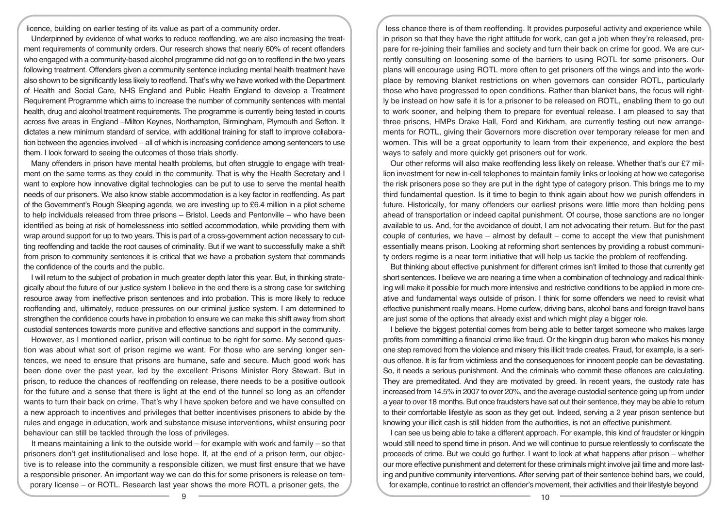licence, building on earlier testing of its value as part of a community order.

Underpinned by evidence of what works to reduce reoffending, we are also increasing the treatment requirements of community orders. Our research shows that nearly 60% of recent offenders who engaged with a community-based alcohol programme did not go on to reoffend in the two years following treatment. Offenders given a community sentence including mental health treatment have also shown to be significantly less likely to reoffend. That's why we have worked with the Department of Health and Social Care, NHS England and Public Health England to develop a Treatment Requirement Programme which aims to increase the number of community sentences with mental health, drug and alcohol treatment requirements. The programme is currently being tested in courts across five areas in England –Milton Keynes, Northampton, Birmingham, Plymouth and Sefton. It dictates a new minimum standard of service, with additional training for staff to improve collaboration between the agencies involved – all of which is increasing confidence among sentencers to use them. I look forward to seeing the outcomes of those trials shortly.

Many offenders in prison have mental health problems, but often struggle to engage with treatment on the same terms as they could in the community. That is why the Health Secretary and I want to explore how innovative digital technologies can be put to use to serve the mental health needs of our prisoners. We also know stable accommodation is a key factor in reoffending. As part of the Government's Rough Sleeping agenda, we are investing up to £6.4 million in a pilot scheme to help individuals released from three prisons – Bristol, Leeds and Pentonville – who have been identified as being at risk of homelessness into settled accommodation, while providing them with wrap around support for up to two years. This is part of a cross-government action necessary to cutting reoffending and tackle the root causes of criminality. But if we want to successfully make a shift from prison to community sentences it is critical that we have a probation system that commands the confidence of the courts and the public.

I will return to the subject of probation in much greater depth later this year. But, in thinking strategically about the future of our justice system I believe in the end there is a strong case for switching resource away from ineffective prison sentences and into probation. This is more likely to reduce reoffending and, ultimately, reduce pressures on our criminal justice system. I am determined to strengthen the confidence courts have in probation to ensure we can make this shift away from short custodial sentences towards more punitive and effective sanctions and support in the community.

However, as I mentioned earlier, prison will continue to be right for some. My second question was about what sort of prison regime we want. For those who are serving longer sentences, we need to ensure that prisons are humane, safe and secure. Much good work has been done over the past year, led by the excellent Prisons Minister Rory Stewart. But in prison, to reduce the chances of reoffending on release, there needs to be a positive outlook for the future and a sense that there is light at the end of the tunnel so long as an offender wants to turn their back on crime. That's why I have spoken before and we have consulted on a new approach to incentives and privileges that better incentivises prisoners to abide by the rules and engage in education, work and substance misuse interventions, whilst ensuring poor behaviour can still be tackled through the loss of privileges.

It means maintaining a link to the outside world – for example with work and family – so that prisoners don't get institutionalised and lose hope. If, at the end of a prison term, our objective is to release into the community a responsible citizen, we must first ensure that we have a responsible prisoner. An important way we can do this for some prisoners is release on temporary license – or ROTL. Research last year shows the more ROTL a prisoner gets, the

less chance there is of them reoffending. It provides purposeful activity and experience while in prison so that they have the right attitude for work, can get a job when they're released, prepare for re-joining their families and society and turn their back on crime for good. We are currently consulting on loosening some of the barriers to using ROTL for some prisoners. Our plans will encourage using ROTL more often to get prisoners off the wings and into the workplace by removing blanket restrictions on when governors can consider ROTL, particularly those who have progressed to open conditions. Rather than blanket bans, the focus will rightly be instead on how safe it is for a prisoner to be released on ROTL, enabling them to go out to work sooner, and helping them to prepare for eventual release. I am pleased to say that three prisons, HMPs Drake Hall, Ford and Kirkham, are currently testing out new arrangements for ROTL, giving their Governors more discretion over temporary release for men and women. This will be a great opportunity to learn from their experience, and explore the best ways to safely and more quickly get prisoners out for work.

Our other reforms will also make reoffending less likely on release. Whether that's our £7 million investment for new in-cell telephones to maintain family links or looking at how we categorise the risk prisoners pose so they are put in the right type of category prison. This brings me to my third fundamental question. Is it time to begin to think again about how we punish offenders in future. Historically, for many offenders our earliest prisons were little more than holding pens ahead of transportation or indeed capital punishment. Of course, those sanctions are no longer available to us. And, for the avoidance of doubt, I am not advocating their return. But for the past couple of centuries, we have  $-$  almost by default  $-$  come to accept the view that punishment essentially means prison. Looking at reforming short sentences by providing a robust community orders regime is a near term initiative that will help us tackle the problem of reoffending.

But thinking about effective punishment for different crimes isn't limited to those that currently get short sentences. I believe we are nearing a time when a combination of technology and radical thinking will make it possible for much more intensive and restrictive conditions to be applied in more creative and fundamental ways outside of prison. I think for some offenders we need to revisit what effective punishment really means. Home curfew, driving bans, alcohol bans and foreign travel bans are just some of the options that already exist and which might play a bigger role.

I believe the biggest potential comes from being able to better target someone who makes large profits from committing a financial crime like fraud. Or the kingpin drug baron who makes his money one step removed from the violence and misery this illicit trade creates. Fraud, for example, is a serious offence. It is far from victimless and the consequences for innocent people can be devastating. So, it needs a serious punishment. And the criminals who commit these offences are calculating. They are premeditated. And they are motivated by greed. In recent years, the custody rate has increased from 14.5% in 2007 to over 20%, and the average custodial sentence going up from under a year to over 18 months. But once fraudsters have sat out their sentence, they may be able to return to their comfortable lifestyle as soon as they get out. Indeed, serving a 2 year prison sentence but knowing your illicit cash is still hidden from the authorities, is not an effective punishment.

I can see us being able to take a different approach. For example, this kind of fraudster or kingpin would still need to spend time in prison. And we will continue to pursue relentlessly to confiscate the proceeds of crime. But we could go further. I want to look at what happens after prison – whether our more effective punishment and deterrent for these criminals might involve jail time and more lasting and punitive community interventions. After serving part of their sentence behind bars, we could, for example, continue to restrict an offender's movement, their activities and their lifestyle beyond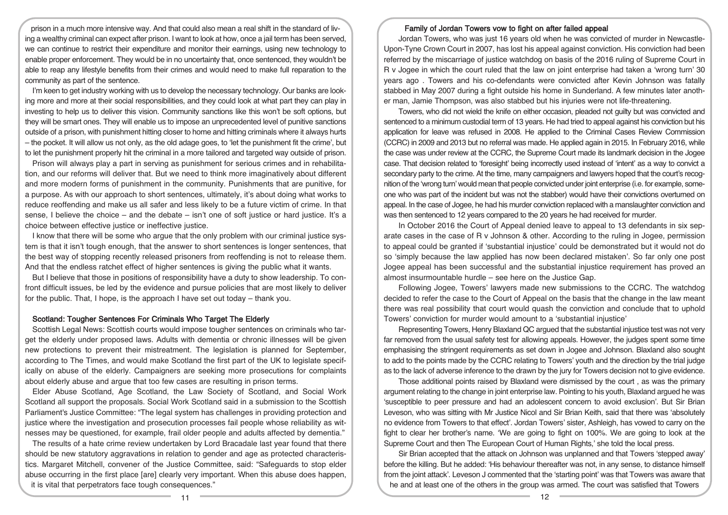prison in a much more intensive way. And that could also mean a real shift in the standard of living a wealthy criminal can expect after prison. I want to look at how, once a jail term has been served, we can continue to restrict their expenditure and monitor their earnings, using new technology to enable proper enforcement. They would be in no uncertainty that, once sentenced, they wouldn't be able to reap any lifestyle benefits from their crimes and would need to make full reparation to the community as part of the sentence.

I'm keen to get industry working with us to develop the necessary technology. Our banks are looking more and more at their social responsibilities, and they could look at what part they can play in investing to help us to deliver this vision. Community sanctions like this won't be soft options, but they will be smart ones. They will enable us to impose an unprecedented level of punitive sanctions outside of a prison, with punishment hitting closer to home and hitting criminals where it always hurts – the pocket. It will allow us not only, as the old adage goes, to 'let the punishment fit the crime', but to let the punishment properly hit the criminal in a more tailored and targeted way outside of prison.

Prison will always play a part in serving as punishment for serious crimes and in rehabilitation, and our reforms will deliver that. But we need to think more imaginatively about different and more modern forms of punishment in the community. Punishments that are punitive, for a purpose. As with our approach to short sentences, ultimately, it's about doing what works to reduce reoffending and make us all safer and less likely to be a future victim of crime. In that sense, I believe the choice – and the debate – isn't one of soft justice or hard justice. It's a choice between effective justice or ineffective justice.

I know that there will be some who argue that the only problem with our criminal justice system is that it isn't tough enough, that the answer to short sentences is longer sentences, that the best way of stopping recently released prisoners from reoffending is not to release them. And that the endless ratchet effect of higher sentences is giving the public what it wants.

But I believe that those in positions of responsibility have a duty to show leadership. To confront difficult issues, be led by the evidence and pursue policies that are most likely to deliver for the public. That, I hope, is the approach I have set out today – thank you.

## Scotland: Tougher Sentences For Criminals Who Target The Elderly

Scottish Legal News: Scottish courts would impose tougher sentences on criminals who target the elderly under proposed laws. Adults with dementia or chronic illnesses will be given new protections to prevent their mistreatment. The legislation is planned for September, according to The Times, and would make Scotland the first part of the UK to legislate specifically on abuse of the elderly. Campaigners are seeking more prosecutions for complaints about elderly abuse and argue that too few cases are resulting in prison terms.

Elder Abuse Scotland, Age Scotland, the Law Society of Scotland, and Social Work Scotland all support the proposals. Social Work Scotland said in a submission to the Scottish Parliament's Justice Committee: "The legal system has challenges in providing protection and justice where the investigation and prosecution processes fail people whose reliability as witnesses may be questioned, for example, frail older people and adults affected by dementia."

The results of a hate crime review undertaken by Lord Bracadale last year found that there should be new statutory aggravations in relation to gender and age as protected characteristics. Margaret Mitchell, convener of the Justice Committee, said: "Safeguards to stop elder abuse occurring in the first place [are] clearly very important. When this abuse does happen, it is vital that perpetrators face tough consequences."

## Family of Jordan Towers vow to fight on after failed appeal

Jordan Towers, who was just 16 years old when he was convicted of murder in Newcastle-Upon-Tyne Crown Court in 2007, has lost his appeal against conviction. His conviction had been referred by the miscarriage of justice watchdog on basis of the 2016 ruling of Supreme Court in R v Jogee in which the court ruled that the law on joint enterprise had taken a 'wrong turn' 30 years ago . Towers and his co-defendants were convicted after Kevin Johnson was fatally stabbed in May 2007 during a fight outside his home in Sunderland. A few minutes later another man, Jamie Thompson, was also stabbed but his injuries were not life-threatening.

Towers, who did not wield the knife on either occasion, pleaded not guilty but was convicted and sentenced to a minimum custodial term of 13 years. He had tried to appeal against his conviction but his application for leave was refused in 2008. He applied to the Criminal Cases Review Commission (CCRC) in 2009 and 2013 but no referral was made. He applied again in 2015. In February 2016, while the case was under review at the CCRC, the Supreme Court made its landmark decision in the Jogee case. That decision related to 'foresight' being incorrectly used instead of 'intent' as a way to convict a secondary party to the crime. At the time, many campaigners and lawyers hoped that the court's recognition of the 'wrong turn' would mean that people convicted under joint enterprise (i.e. for example, someone who was part of the incident but was not the stabber) would have their convictions overturned on appeal. In the case of Jogee, he had his murder conviction replaced with a manslaughter conviction and was then sentenced to 12 years compared to the 20 years he had received for murder.

In October 2016 the Court of Appeal denied leave to appeal to 13 defendants in six separate cases in the case of R v Johnson & other. According to the ruling in Jogee, permission to appeal could be granted if 'substantial injustice' could be demonstrated but it would not do so 'simply because the law applied has now been declared mistaken'. So far only one post Jogee appeal has been successful and the substantial injustice requirement has proved an almost insurmountable hurdle – see here on the Justice Gap.

Following Jogee, Towers' lawyers made new submissions to the CCRC. The watchdog decided to refer the case to the Court of Appeal on the basis that the change in the law meant there was real possibility that court would quash the conviction and conclude that to uphold Towers' conviction for murder would amount to a 'substantial injustice'

Representing Towers, Henry Blaxland QC argued that the substantial injustice test was not very far removed from the usual safety test for allowing appeals. However, the judges spent some time emphasising the stringent requirements as set down in Jogee and Johnson. Blaxland also sought to add to the points made by the CCRC relating to Towers' youth and the direction by the trial judge as to the lack of adverse inference to the drawn by the jury for Towers decision not to give evidence.

Those additional points raised by Blaxland were dismissed by the court , as was the primary argument relating to the change in joint enterprise law. Pointing to his youth, Blaxland argued he was 'susceptible to peer pressure and had an adolescent concern to avoid exclusion'. But Sir Brian Leveson, who was sitting with Mr Justice Nicol and Sir Brian Keith, said that there was 'absolutely no evidence from Towers to that effect'. Jordan Towers' sister, Ashleigh, has vowed to carry on the fight to clear her brother's name. 'We are going to fight on 100%. We are going to look at the Supreme Court and then The European Court of Human Rights,' she told the local press.

Sir Brian accepted that the attack on Johnson was unplanned and that Towers 'stepped away' before the killing. But he added: 'His behaviour thereafter was not, in any sense, to distance himself from the joint attack'. Leveson J commented that the 'starting point' was that Towers was aware that he and at least one of the others in the group was armed. The court was satisfied that Towers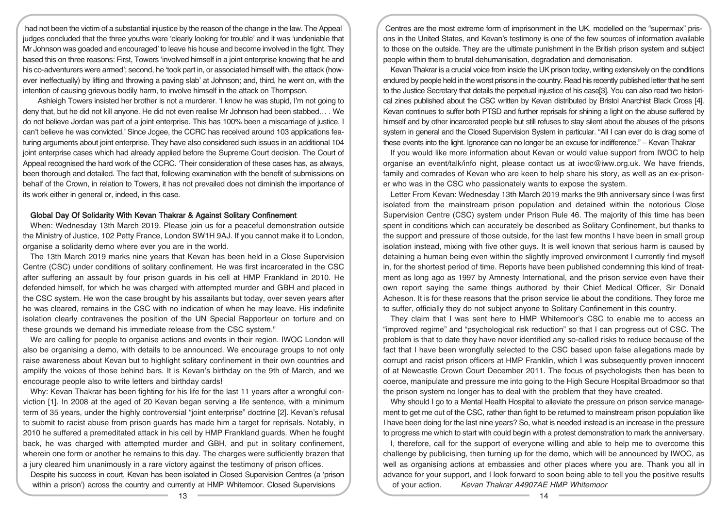had not been the victim of a substantial injustice by the reason of the change in the law. The Appeal judges concluded that the three youths were 'clearly looking for trouble' and it was 'undeniable that Mr Johnson was goaded and encouraged' to leave his house and become involved in the fight. They based this on three reasons: First, Towers 'involved himself in a joint enterprise knowing that he and his co-adventurers were armed'; second, he 'took part in, or associated himself with, the attack (however ineffectually) by lifting and throwing a paving slab' at Johnson; and, third, he went on, with the intention of causing grievous bodily harm, to involve himself in the attack on Thompson.

Ashleigh Towers insisted her brother is not a murderer. 'I know he was stupid, I'm not going to deny that, but he did not kill anyone. He did not even realise Mr Johnson had been stabbed… . We do not believe Jordan was part of a joint enterprise. This has 100% been a miscarriage of justice. I can't believe he was convicted.' Since Jogee, the CCRC has received around 103 applications featuring arguments about joint enterprise. They have also considered such issues in an additional 104 joint enterprise cases which had already applied before the Supreme Court decision. The Court of Appeal recognised the hard work of the CCRC. 'Their consideration of these cases has, as always, been thorough and detailed. The fact that, following examination with the benefit of submissions on behalf of the Crown, in relation to Towers, it has not prevailed does not diminish the importance of its work either in general or, indeed, in this case.

### Global Day Of Solidarity With Kevan Thakrar & Against Solitary Confinement

When: Wednesday 13th March 2019. Please join us for a peaceful demonstration outside the Ministry of Justice, 102 Petty France, London SW1H 9AJ. If you cannot make it to London, organise a solidarity demo where ever you are in the world.

The 13th March 2019 marks nine years that Kevan has been held in a Close Supervision Centre (CSC) under conditions of solitary confinement. He was first incarcerated in the CSC after suffering an assault by four prison guards in his cell at HMP Frankland in 2010. He defended himself, for which he was charged with attempted murder and GBH and placed in the CSC system. He won the case brought by his assailants but today, over seven years after he was cleared, remains in the CSC with no indication of when he may leave. His indefinite isolation clearly contravenes the position of the UN Special Rapporteur on torture and on these grounds we demand his immediate release from the CSC system."

We are calling for people to organise actions and events in their region. IWOC London will also be organising a demo, with details to be announced. We encourage groups to not only raise awareness about Kevan but to highlight solitary confinement in their own countries and amplify the voices of those behind bars. It is Kevan's birthday on the 9th of March, and we encourage people also to write letters and birthday cards!

Why: Kevan Thakrar has been fighting for his life for the last 11 years after a wrongful conviction [1]. In 2008 at the aged of 20 Kevan began serving a life sentence, with a minimum term of 35 years, under the highly controversial "joint enterprise" doctrine [2]. Kevan's refusal to submit to racist abuse from prison guards has made him a target for reprisals. Notably, in 2010 he suffered a premeditated attack in his cell by HMP Frankland guards. When he fought back, he was charged with attempted murder and GBH, and put in solitary confinement, wherein one form or another he remains to this day. The charges were sufficiently brazen that a jury cleared him unanimously in a rare victory against the testimony of prison offices.

Despite his success in court, Kevan has been isolated in Closed Supervision Centres (a 'prison within a prison') across the country and currently at HMP Whitemoor. Closed Supervisions

Centres are the most extreme form of imprisonment in the UK, modelled on the "supermax" prisons in the United States, and Kevan's testimony is one of the few sources of information available to those on the outside. They are the ultimate punishment in the British prison system and subject people within them to brutal dehumanisation, degradation and demonisation.

Kevan Thakrar is a crucial voice from inside the UK prison today, writing extensively on the conditions endured by people held in the worst prisons in the country. Read his recently published letter that he sent to the Justice Secretary that details the perpetual injustice of his case[3]. You can also read two historical zines published about the CSC written by Kevan distributed by Bristol Anarchist Black Cross [4]. Kevan continues to suffer both PTSD and further reprisals for shining a light on the abuse suffered by himself and by other incarcerated people but still refuses to stay silent about the abuses of the prisons system in general and the Closed Supervision System in particular. "All I can ever do is drag some of these events into the light. Ignorance can no longer be an excuse for indifference." – Kevan Thakrar

If you would like more information about Kevan or would value support from IWOC to help organise an event/talk/info night, please contact us at iwoc@iww.org.uk. We have friends, family and comrades of Kevan who are keen to help share his story, as well as an ex-prisoner who was in the CSC who passionately wants to expose the system.

Letter From Kevan: Wednesday 13th March 2019 marks the 9th anniversary since I was first isolated from the mainstream prison population and detained within the notorious Close Supervision Centre (CSC) system under Prison Rule 46. The majority of this time has been spent in conditions which can accurately be described as Solitary Confinement, but thanks to the support and pressure of those outside, for the last few months I have been in small group isolation instead, mixing with five other guys. It is well known that serious harm is caused by detaining a human being even within the slightly improved environment I currently find myself in, for the shortest period of time. Reports have been published condemning this kind of treatment as long ago as 1997 by Amnesty International, and the prison service even have their own report saying the same things authored by their Chief Medical Officer, Sir Donald Acheson. It is for these reasons that the prison service lie about the conditions. They force me to suffer, officially they do not subject anyone to Solitary Confinement in this country.

They claim that I was sent here to HMP Whitemoor's CSC to enable me to access an "improved regime" and "psychological risk reduction" so that I can progress out of CSC. The problem is that to date they have never identified any so-called risks to reduce because of the fact that I have been wrongfully selected to the CSC based upon false allegations made by corrupt and racist prison officers at HMP Franklin, which I was subsequently proven innocent of at Newcastle Crown Court December 2011. The focus of psychologists then has been to coerce, manipulate and pressure me into going to the High Secure Hospital Broadmoor so that the prison system no longer has to deal with the problem that they have created.

Why should I go to a Mental Health Hospital to alleviate the pressure on prison service management to get me out of the CSC, rather than fight to be returned to mainstream prison population like I have been doing for the last nine years? So, what is needed instead is an increase in the pressure to progress me which to start with could begin with a protest demonstration to mark the anniversary.

I, therefore, call for the support of everyone willing and able to help me to overcome this challenge by publicising, then turning up for the demo, which will be announced by IWOC, as well as organising actions at embassies and other places where you are. Thank you all in advance for your support, and I look forward to soon being able to tell you the positive results of your action. Kevan Thakrar A4907AE HMP Whitemoor